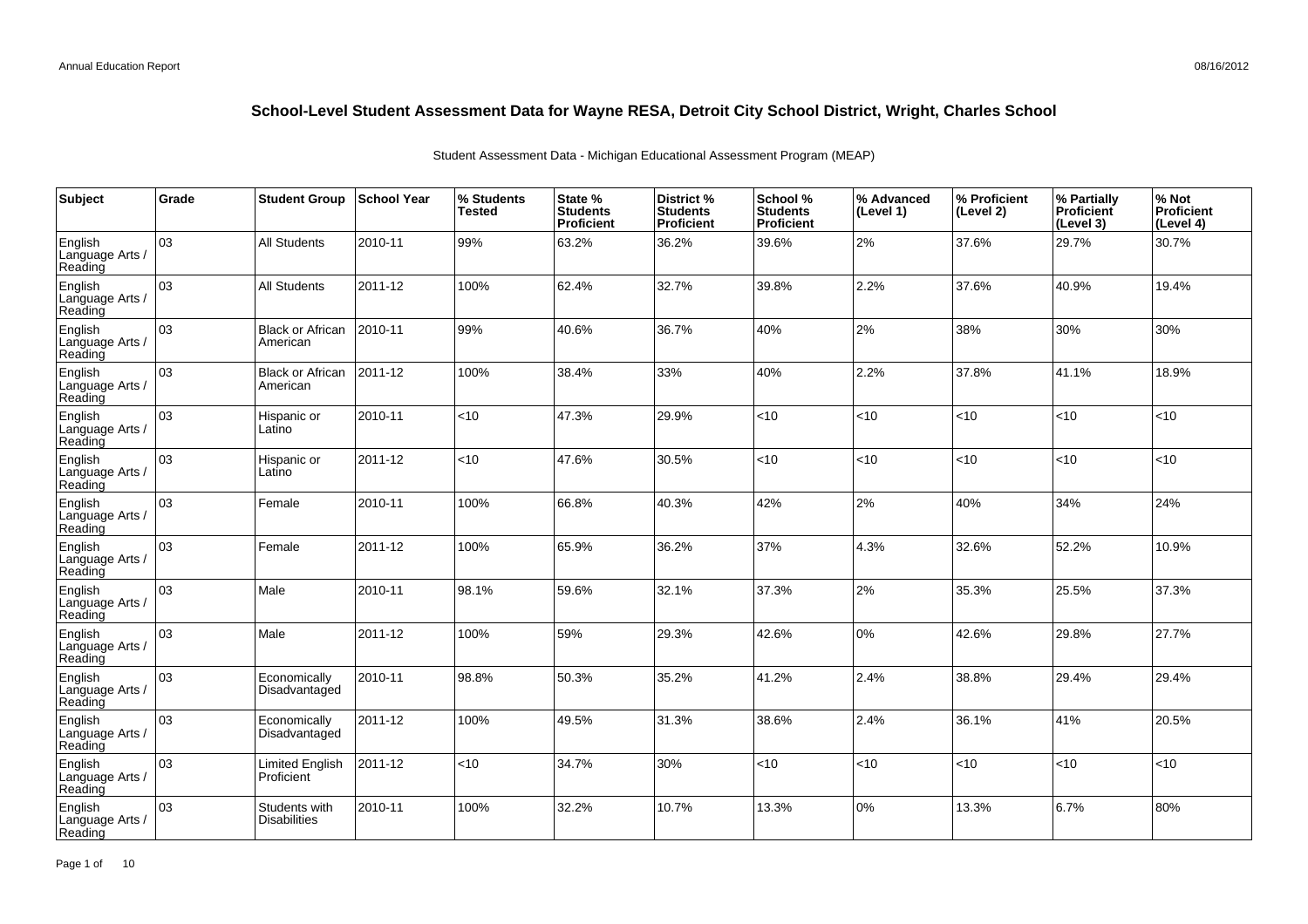| Subject                               | Grade | <b>Student Group</b>                 | <b>School Year</b> | % Students<br><b>Tested</b> | State %<br><b>Students</b><br>Proficient | District %<br><b>Students</b><br>Proficient | School %<br><b>Students</b><br><b>Proficient</b> | % Advanced<br>(Level 1) | │% Proficient<br>(Level 2) | % Partially<br>Proficient<br>(Level 3) | % Not<br>Proficient<br>(Level 4) |
|---------------------------------------|-------|--------------------------------------|--------------------|-----------------------------|------------------------------------------|---------------------------------------------|--------------------------------------------------|-------------------------|----------------------------|----------------------------------------|----------------------------------|
| English<br>Language Arts /<br>Reading | 03    | <b>All Students</b>                  | 2010-11            | 99%                         | 63.2%                                    | 36.2%                                       | 39.6%                                            | 2%                      | 37.6%                      | 29.7%                                  | 30.7%                            |
| English<br>Language Arts /<br>Reading | lоз   | <b>All Students</b>                  | 2011-12            | 100%                        | 62.4%                                    | 32.7%                                       | 39.8%                                            | 2.2%                    | 37.6%                      | 40.9%                                  | 19.4%                            |
| English<br>Language Arts /<br>Reading | 03    | <b>Black or African</b><br>American  | 2010-11            | 99%                         | 40.6%                                    | 36.7%                                       | 40%                                              | 2%                      | 38%                        | 30%                                    | 30%                              |
| English<br>Language Arts /<br>Reading | оз    | <b>Black or African</b><br>American  | 2011-12            | 100%                        | 38.4%                                    | 33%                                         | 40%                                              | 2.2%                    | 37.8%                      | 41.1%                                  | 18.9%                            |
| English<br>Language Arts /<br>Reading | 03    | Hispanic or<br>Latino                | 2010-11            | $<$ 10                      | 47.3%                                    | 29.9%                                       | < 10                                             | <10                     | $<$ 10                     | < 10                                   | <10                              |
| English<br>Language Arts /<br>Reading | 03    | Hispanic or<br>Latino                | 2011-12            | <10                         | 47.6%                                    | 30.5%                                       | <10                                              | < 10                    | < 10                       | <10                                    | <10                              |
| English<br>Language Arts /<br>Reading | 03    | Female                               | 2010-11            | 100%                        | 66.8%                                    | 40.3%                                       | 42%                                              | 2%                      | 40%                        | 34%                                    | 24%                              |
| English<br>Language Arts /<br>Reading | 03    | Female                               | 2011-12            | 100%                        | 65.9%                                    | 36.2%                                       | 37%                                              | 4.3%                    | 32.6%                      | 52.2%                                  | 10.9%                            |
| English<br>Language Arts /<br>Reading | 03    | Male                                 | 2010-11            | 98.1%                       | 59.6%                                    | 32.1%                                       | 37.3%                                            | 2%                      | 35.3%                      | 25.5%                                  | 37.3%                            |
| English<br>Language Arts /<br>Reading | 03    | Male                                 | 2011-12            | 100%                        | 59%                                      | 29.3%                                       | 42.6%                                            | 0%                      | 42.6%                      | 29.8%                                  | 27.7%                            |
| English<br>Language Arts /<br>Reading | lоз   | Economically<br>Disadvantaged        | 2010-11            | 98.8%                       | 50.3%                                    | 35.2%                                       | 41.2%                                            | 2.4%                    | 38.8%                      | 29.4%                                  | 29.4%                            |
| English<br>Language Arts /<br>Reading | 03    | Economically<br>Disadvantaged        | 2011-12            | 100%                        | 49.5%                                    | 31.3%                                       | 38.6%                                            | 2.4%                    | 36.1%                      | 41%                                    | 20.5%                            |
| English<br>Language Arts /<br>Reading | 03    | Limited English<br>Proficient        | 2011-12            | <10                         | 34.7%                                    | 30%                                         | <10                                              | < 10                    | < 10                       | <10                                    | <10                              |
| English<br>Language Arts /<br>Reading | 03    | Students with<br><b>Disabilities</b> | 2010-11            | 100%                        | 32.2%                                    | 10.7%                                       | 13.3%                                            | 0%                      | 13.3%                      | 6.7%                                   | 80%                              |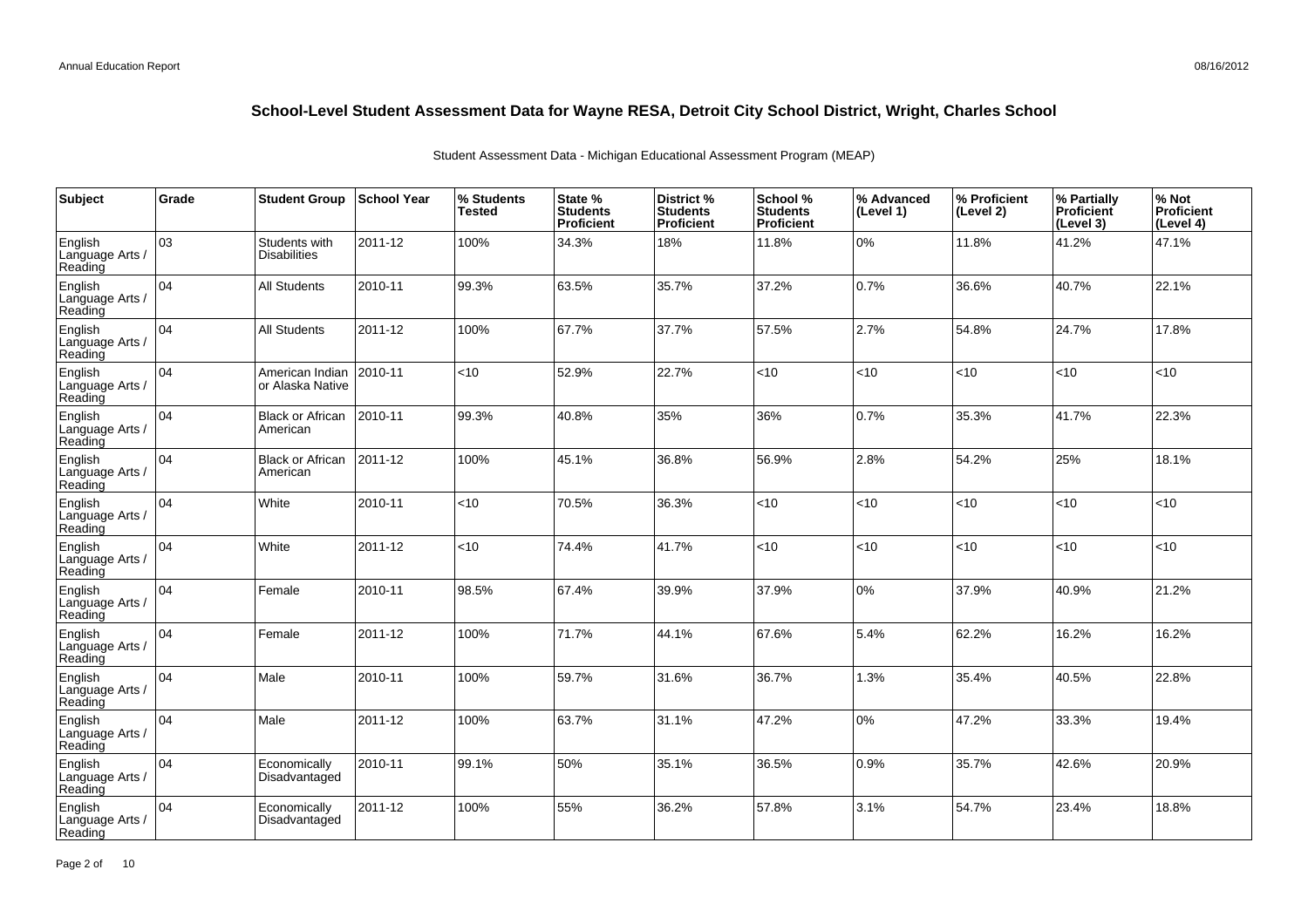| Subject                               | Grade           | <b>Student Group</b>                 | School Year | % Students<br><b>Tested</b> | State %<br><b>Students</b><br>Proficient | District %<br><b>Students</b><br>Proficient | School %<br><b>Students</b><br><b>Proficient</b> | % Advanced<br>(Level 1) | % Proficient<br>(Level 2) | % Partially<br>Proficient<br>(Level 3) | % Not<br>Proficient<br>(Level 4) |
|---------------------------------------|-----------------|--------------------------------------|-------------|-----------------------------|------------------------------------------|---------------------------------------------|--------------------------------------------------|-------------------------|---------------------------|----------------------------------------|----------------------------------|
| English<br>Language Arts /<br>Reading | 03              | Students with<br><b>Disabilities</b> | 2011-12     | 100%                        | 34.3%                                    | 18%                                         | 11.8%                                            | 0%                      | 11.8%                     | 41.2%                                  | 47.1%                            |
| English<br>Language Arts /<br>Reading | 04              | <b>All Students</b>                  | 2010-11     | 99.3%                       | 63.5%                                    | 35.7%                                       | 37.2%                                            | 0.7%                    | 36.6%                     | 40.7%                                  | 22.1%                            |
| English<br>Language Arts /<br>Reading | 04              | <b>All Students</b>                  | 2011-12     | 100%                        | 67.7%                                    | 37.7%                                       | 57.5%                                            | 2.7%                    | 54.8%                     | 24.7%                                  | 17.8%                            |
| English<br>Language Arts /<br>Reading | 04              | American Indian<br>or Alaska Native  | 2010-11     | <10                         | 52.9%                                    | 22.7%                                       | < 10                                             | <10                     | <10                       | < 10                                   | <10                              |
| English<br>Language Arts /<br>Reading | 04              | <b>Black or African</b><br>American  | 2010-11     | 99.3%                       | 40.8%                                    | 35%                                         | 36%                                              | 0.7%                    | 35.3%                     | 41.7%                                  | 22.3%                            |
| English<br>Language Arts /<br>Reading | 04              | <b>Black or African</b><br>American  | 2011-12     | 100%                        | 45.1%                                    | 36.8%                                       | 56.9%                                            | 2.8%                    | 54.2%                     | 25%                                    | 18.1%                            |
| English<br>Language Arts /<br>Reading | 04              | White                                | 2010-11     | <10                         | 70.5%                                    | 36.3%                                       | < 10                                             | <10                     | <10                       | < 10                                   | <10                              |
| English<br>Language Arts<br>Reading   | 04              | White                                | 2011-12     | <10                         | 74.4%                                    | 41.7%                                       | <10                                              | <10                     | <10                       | < 10                                   | <10                              |
| English<br>Language Arts<br>Reading   | 04              | Female                               | 2010-11     | 98.5%                       | 67.4%                                    | 39.9%                                       | 37.9%                                            | 0%                      | 37.9%                     | 40.9%                                  | 21.2%                            |
| English<br>Language Arts<br>Reading   | 04              | Female                               | 2011-12     | 100%                        | 71.7%                                    | 44.1%                                       | 67.6%                                            | 5.4%                    | 62.2%                     | 16.2%                                  | 16.2%                            |
| English<br>Language Arts<br>Reading   | $\overline{04}$ | Male                                 | 2010-11     | 100%                        | 59.7%                                    | 31.6%                                       | 36.7%                                            | 1.3%                    | 35.4%                     | 40.5%                                  | 22.8%                            |
| English<br>Language Arts<br>Reading   | 04              | Male                                 | 2011-12     | 100%                        | 63.7%                                    | 31.1%                                       | 47.2%                                            | $0\%$                   | 47.2%                     | 33.3%                                  | 19.4%                            |
| English<br>Language Arts<br>Reading   | 04              | Economically<br>Disadvantaged        | 2010-11     | 99.1%                       | 50%                                      | 35.1%                                       | 36.5%                                            | 0.9%                    | 35.7%                     | 42.6%                                  | 20.9%                            |
| English<br>Language Arts<br>Reading   | 04              | Economically<br>Disadvantaged        | 2011-12     | 100%                        | 55%                                      | 36.2%                                       | 57.8%                                            | 3.1%                    | 54.7%                     | 23.4%                                  | 18.8%                            |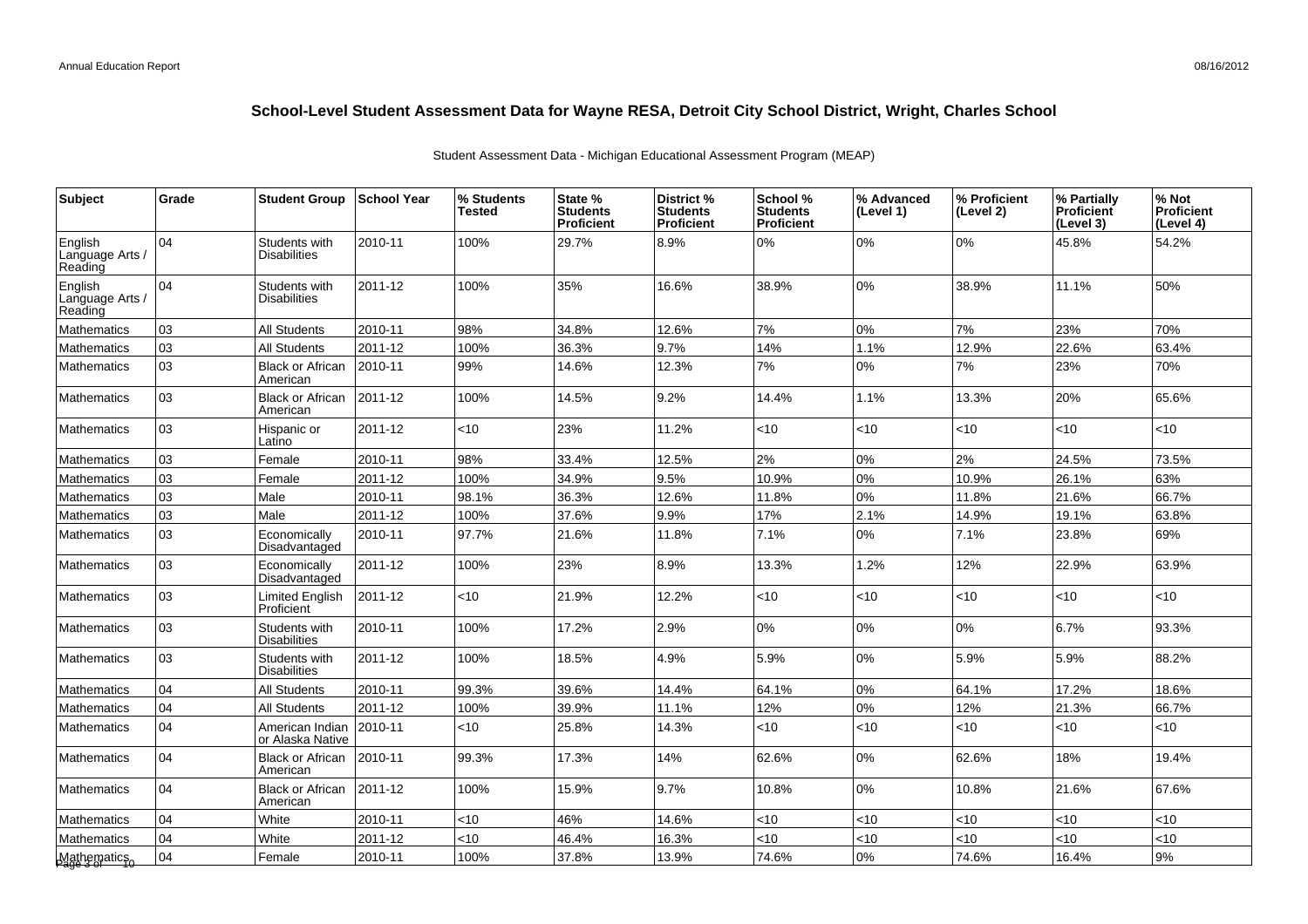| <b>Subject</b>                        | Grade | <b>Student Group</b>                 | <b>School Year</b> | % Students<br>Tested | State %<br><b>Students</b><br>Proficient | District %<br><b>Students</b><br>Proficient | School %<br><b>Students</b><br><b>Proficient</b> | % Advanced<br>(Level 1) | % Proficient<br>(Level 2) | % Partially<br><b>Proficient</b><br>(Level 3) | % Not<br><b>Proficient</b><br>(Level 4) |
|---------------------------------------|-------|--------------------------------------|--------------------|----------------------|------------------------------------------|---------------------------------------------|--------------------------------------------------|-------------------------|---------------------------|-----------------------------------------------|-----------------------------------------|
| English<br>Language Arts /<br>Reading | 04    | Students with<br><b>Disabilities</b> | 2010-11            | 100%                 | 29.7%                                    | 8.9%                                        | 0%                                               | $0\%$                   | 0%                        | 45.8%                                         | 54.2%                                   |
| English<br>Language Arts /<br>Reading | 04    | Students with<br><b>Disabilities</b> | 2011-12            | 100%                 | 35%                                      | 16.6%                                       | 38.9%                                            | $0\%$                   | 38.9%                     | 11.1%                                         | 50%                                     |
| Mathematics                           | 03    | <b>All Students</b>                  | 2010-11            | 98%                  | 34.8%                                    | 12.6%                                       | 7%                                               | $0\%$                   | 7%                        | 23%                                           | 70%                                     |
| Mathematics                           | 03    | All Students                         | 2011-12            | 100%                 | 36.3%                                    | 9.7%                                        | 14%                                              | 1.1%                    | 12.9%                     | 22.6%                                         | 63.4%                                   |
| <b>Mathematics</b>                    | 03    | <b>Black or African</b><br>American  | 2010-11            | 99%                  | 14.6%                                    | 12.3%                                       | 7%                                               | $0\%$                   | 7%                        | 23%                                           | 70%                                     |
| Mathematics                           | 03    | <b>Black or African</b><br>American  | 2011-12            | 100%                 | 14.5%                                    | 9.2%                                        | 14.4%                                            | 1.1%                    | 13.3%                     | 20%                                           | 65.6%                                   |
| Mathematics                           | 03    | Hispanic or<br>Latino                | 2011-12            | <10                  | 23%                                      | 11.2%                                       | $<$ 10                                           | <10                     | <10                       | < 10                                          | <10                                     |
| <b>Mathematics</b>                    | 03    | Female                               | 2010-11            | 98%                  | 33.4%                                    | 12.5%                                       | 2%                                               | 0%                      | 2%                        | 24.5%                                         | 73.5%                                   |
| <b>Mathematics</b>                    | 03    | Female                               | 2011-12            | 100%                 | 34.9%                                    | 9.5%                                        | 10.9%                                            | $0\%$                   | 10.9%                     | 26.1%                                         | 63%                                     |
| Mathematics                           | 03    | Male                                 | 2010-11            | 98.1%                | 36.3%                                    | 12.6%                                       | 11.8%                                            | 0%                      | 11.8%                     | 21.6%                                         | 66.7%                                   |
| Mathematics                           | 03    | Male                                 | 2011-12            | 100%                 | 37.6%                                    | 9.9%                                        | 17%                                              | 2.1%                    | 14.9%                     | 19.1%                                         | 63.8%                                   |
| Mathematics                           | 03    | Economically<br>Disadvantaged        | 2010-11            | 97.7%                | 21.6%                                    | 11.8%                                       | 7.1%                                             | $0\%$                   | 7.1%                      | 23.8%                                         | 69%                                     |
| <b>Mathematics</b>                    | lo3   | Economically<br>Disadvantaged        | 2011-12            | 100%                 | 23%                                      | 8.9%                                        | 13.3%                                            | 1.2%                    | 12%                       | 22.9%                                         | 63.9%                                   |
| <b>Mathematics</b>                    | 03    | Limited English<br>Proficient        | 2011-12            | $<$ 10               | 21.9%                                    | 12.2%                                       | $<$ 10                                           | <10                     | <10                       | < 10                                          | <10                                     |
| <b>Mathematics</b>                    | 03    | Students with<br><b>Disabilities</b> | 2010-11            | 100%                 | 17.2%                                    | 2.9%                                        | 0%                                               | $0\%$                   | 0%                        | 6.7%                                          | 93.3%                                   |
| Mathematics                           | 03    | Students with<br>Disabilities        | 2011-12            | 100%                 | 18.5%                                    | 4.9%                                        | 5.9%                                             | $0\%$                   | 5.9%                      | 5.9%                                          | 88.2%                                   |
| <b>Mathematics</b>                    | 04    | All Students                         | 2010-11            | 99.3%                | 39.6%                                    | 14.4%                                       | 64.1%                                            | 0%                      | 64.1%                     | 17.2%                                         | 18.6%                                   |
| Mathematics                           | 04    | <b>All Students</b>                  | 2011-12            | 100%                 | 39.9%                                    | 11.1%                                       | 12%                                              | $0\%$                   | 12%                       | 21.3%                                         | 66.7%                                   |
| Mathematics                           | 104   | American Indian<br>or Alaska Native  | 2010-11            | <10                  | 25.8%                                    | 14.3%                                       | < 10                                             | <10                     | <10                       | $<$ 10                                        | $<$ 10                                  |
| <b>Mathematics</b>                    | 04    | <b>Black or African</b><br>American  | 2010-11            | 99.3%                | 17.3%                                    | 14%                                         | 62.6%                                            | $0\%$                   | 62.6%                     | 18%                                           | 19.4%                                   |
| <b>Mathematics</b>                    | 104   | Black or African<br>American         | 2011-12            | 100%                 | 15.9%                                    | 9.7%                                        | 10.8%                                            | $0\%$                   | 10.8%                     | 21.6%                                         | 67.6%                                   |
| <b>Mathematics</b>                    | 04    | White                                | 2010-11            | < 10                 | 46%                                      | 14.6%                                       | $<$ 10                                           | <10                     | <10                       | < 10                                          | <10                                     |
| <b>Mathematics</b>                    | 104   | White                                | 2011-12            | <10                  | 46.4%                                    | 16.3%                                       | $<$ 10                                           | < 10                    | < 10                      | <10                                           | <10                                     |
| Mathematics<br>Page 3 of stics        | 04    | Female                               | 2010-11            | 100%                 | 37.8%                                    | 13.9%                                       | 74.6%                                            | $0\%$                   | 74.6%                     | 16.4%                                         | 9%                                      |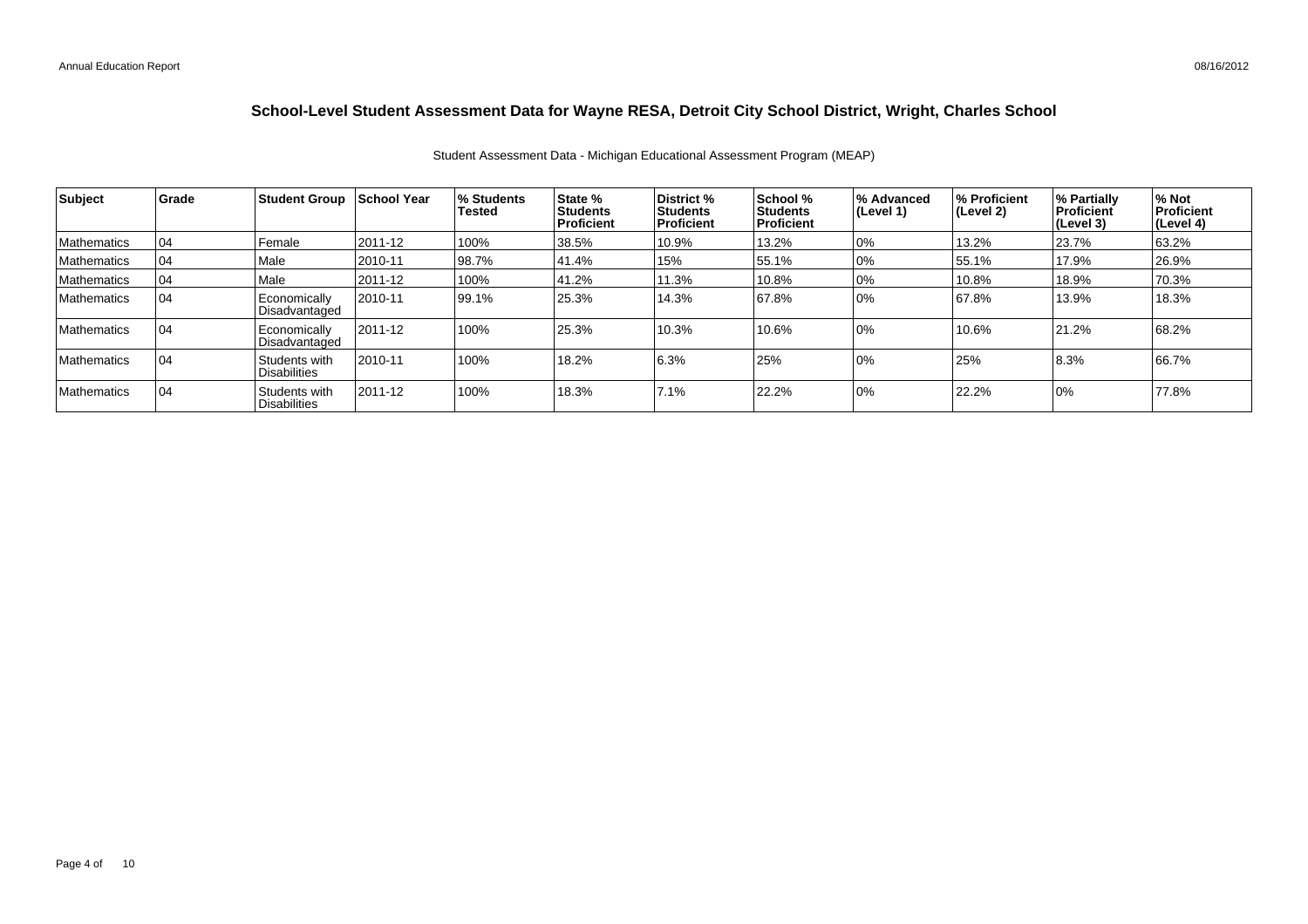| Subject            | Grade | <b>Student Group</b>                 | School Year | % Students<br><b>Tested</b> | State %<br>Students<br><b>Proficient</b> | <b>District</b> %<br><b>Students</b><br>l Proficient | School %<br><b>Students</b><br><b>Proficient</b> | % Advanced<br>(Level 1) | % Proficient<br>(Level 2) | % Partially<br>Proficient<br>(Level 3) | % Not<br><b>Proficient</b><br>(Level 4) |
|--------------------|-------|--------------------------------------|-------------|-----------------------------|------------------------------------------|------------------------------------------------------|--------------------------------------------------|-------------------------|---------------------------|----------------------------------------|-----------------------------------------|
| Mathematics        | 04    | Female                               | 2011-12     | 100%                        | 38.5%                                    | 10.9%                                                | 13.2%                                            | 10%                     | 13.2%                     | 23.7%                                  | 63.2%                                   |
| Mathematics        | 04    | Male                                 | 2010-11     | 98.7%                       | 41.4%                                    | 15%                                                  | 55.1%                                            | 10%                     | 55.1%                     | 17.9%                                  | 26.9%                                   |
| Mathematics        | 04    | Male                                 | 2011-12     | 100%                        | 41.2%                                    | 11.3%                                                | 10.8%                                            | 10%                     | 10.8%                     | 18.9%                                  | 70.3%                                   |
| <b>Mathematics</b> | 04    | Economically<br>Disadvantaged        | 2010-11     | 99.1%                       | 25.3%                                    | 14.3%                                                | 67.8%                                            | 10%                     | 67.8%                     | 13.9%                                  | 18.3%                                   |
| Mathematics        | 04    | Economically<br>Disadvantaged        | 2011-12     | 100%                        | 25.3%                                    | 10.3%                                                | 10.6%                                            | 10%                     | 10.6%                     | 21.2%                                  | 68.2%                                   |
| <b>Mathematics</b> | 04    | Students with<br><b>Disabilities</b> | 2010-11     | 100%                        | 18.2%                                    | 6.3%                                                 | 25%                                              | 10%                     | 25%                       | 8.3%                                   | 66.7%                                   |
| <b>Mathematics</b> | 04    | Students with<br><b>Disabilities</b> | 2011-12     | 100%                        | 18.3%                                    | 7.1%                                                 | 22.2%                                            | 10%                     | 22.2%                     | 0%                                     | 77.8%                                   |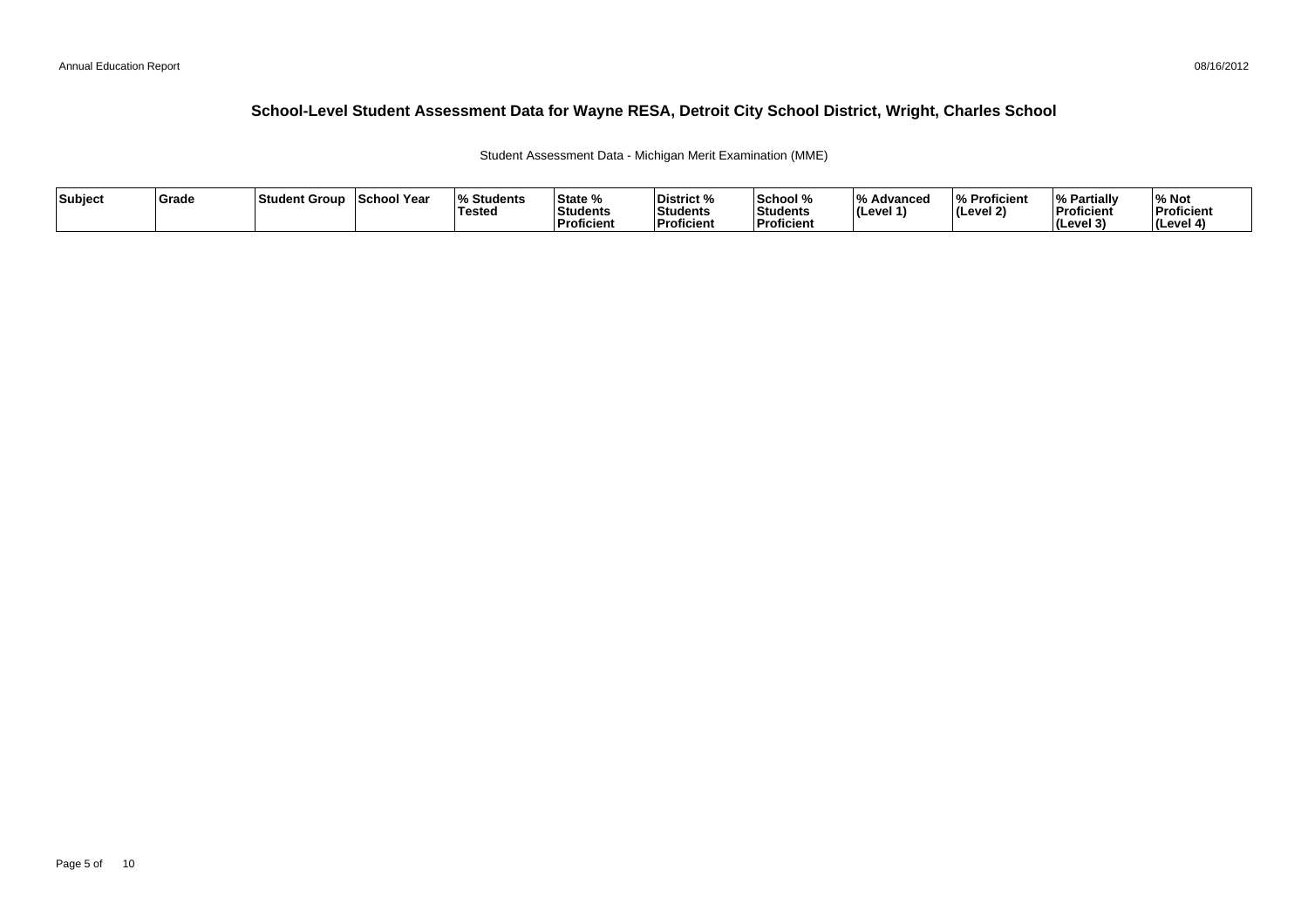Student Assessment Data - Michigan Merit Examination (MME)

| Subject | <b>Grade</b> | Student Group | School Year | <b>Students</b> l%<br><b>Tested</b> | State %<br>Students<br><b>Proficient</b> | District %<br>Students<br><b>Proficient</b> | School %<br>'Students<br><b>Proficien</b> | ΙО.<br>Advanced<br>∣(Level 1 | % Proficient<br>l (Level 2) | <b>Partially</b><br>Proficient<br>(Level 3) | % Not<br>Proficient<br>⊺(Level |
|---------|--------------|---------------|-------------|-------------------------------------|------------------------------------------|---------------------------------------------|-------------------------------------------|------------------------------|-----------------------------|---------------------------------------------|--------------------------------|
|---------|--------------|---------------|-------------|-------------------------------------|------------------------------------------|---------------------------------------------|-------------------------------------------|------------------------------|-----------------------------|---------------------------------------------|--------------------------------|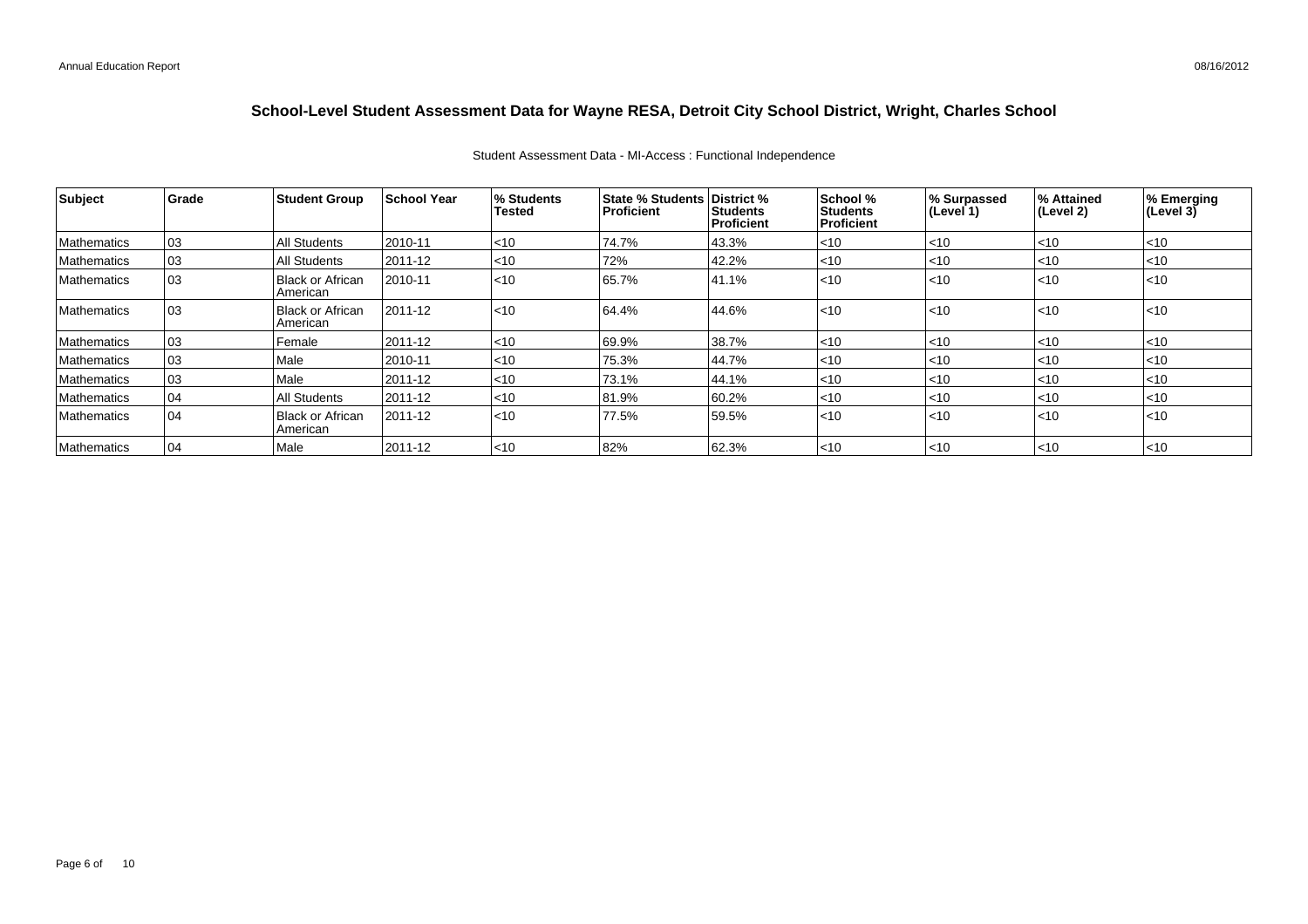#### Student Assessment Data - MI-Access : Functional Independence

| Subject            | Grade | <b>Student Group</b>                | School Year | <b>% Students</b><br><b>Tested</b> | <b>State % Students District %</b><br>Proficient | <b>Students</b><br>Proficient | School %<br><b>Students</b><br><b>Proficient</b> | % Surpassed<br>(Level 1) | % Attained<br>$ $ (Level 2) | % Emerging<br>$ $ (Level 3) |
|--------------------|-------|-------------------------------------|-------------|------------------------------------|--------------------------------------------------|-------------------------------|--------------------------------------------------|--------------------------|-----------------------------|-----------------------------|
| Mathematics        | 03    | All Students                        | 2010-11     | $<$ 10                             | 74.7%                                            | 43.3%                         | $<$ 10                                           | $<$ 10                   | $ $ < 10                    | <10                         |
| Mathematics        | 03    | All Students                        | 2011-12     | < 10                               | 72%                                              | 42.2%                         | < 10                                             | $<$ 10                   | $ $ < 10                    | $<$ 10                      |
| <b>Mathematics</b> | 103   | <b>Black or African</b><br>American | 2010-11     | < 10                               | 65.7%                                            | 41.1%                         | l<10                                             | $<$ 10                   | $ $ < 10                    | l<10                        |
| <b>Mathematics</b> | 103   | Black or African<br>American        | 2011-12     | < 10                               | 64.4%                                            | 44.6%                         | $ $ < 10                                         | $ $ < 10                 | $ $ < 10                    | l<10                        |
| Mathematics        | 103   | Female                              | 2011-12     | < 10                               | 69.9%                                            | 38.7%                         | < 10                                             | < 10                     | < 10                        | < 10                        |
| Mathematics        | 03    | Male                                | 2010-11     | $<$ 10                             | 75.3%                                            | 44.7%                         | $<$ 10                                           | $<$ 10                   | $ $ < 10                    | <10                         |
| Mathematics        | 03    | Male                                | 2011-12     | $ $ < 10                           | 73.1%                                            | 44.1%                         | < 10                                             | < 10                     | < 10                        | $<$ 10                      |
| Mathematics        | 04    | All Students                        | 2011-12     | $<$ 10                             | 81.9%                                            | 60.2%                         | $<$ 10                                           | $<$ 10                   | $ $ < 10                    | <10                         |
| <b>Mathematics</b> | 04    | Black or African<br>American        | 2011-12     | < 10                               | 77.5%                                            | 59.5%                         | l<10                                             | < 10                     | $ $ < 10                    | l<10                        |
| Mathematics        | 04    | Male                                | 2011-12     | $ $ < 10                           | 82%                                              | 62.3%                         | l<10                                             | $ $ < 10                 | $ $ < 10                    | $ $ <10                     |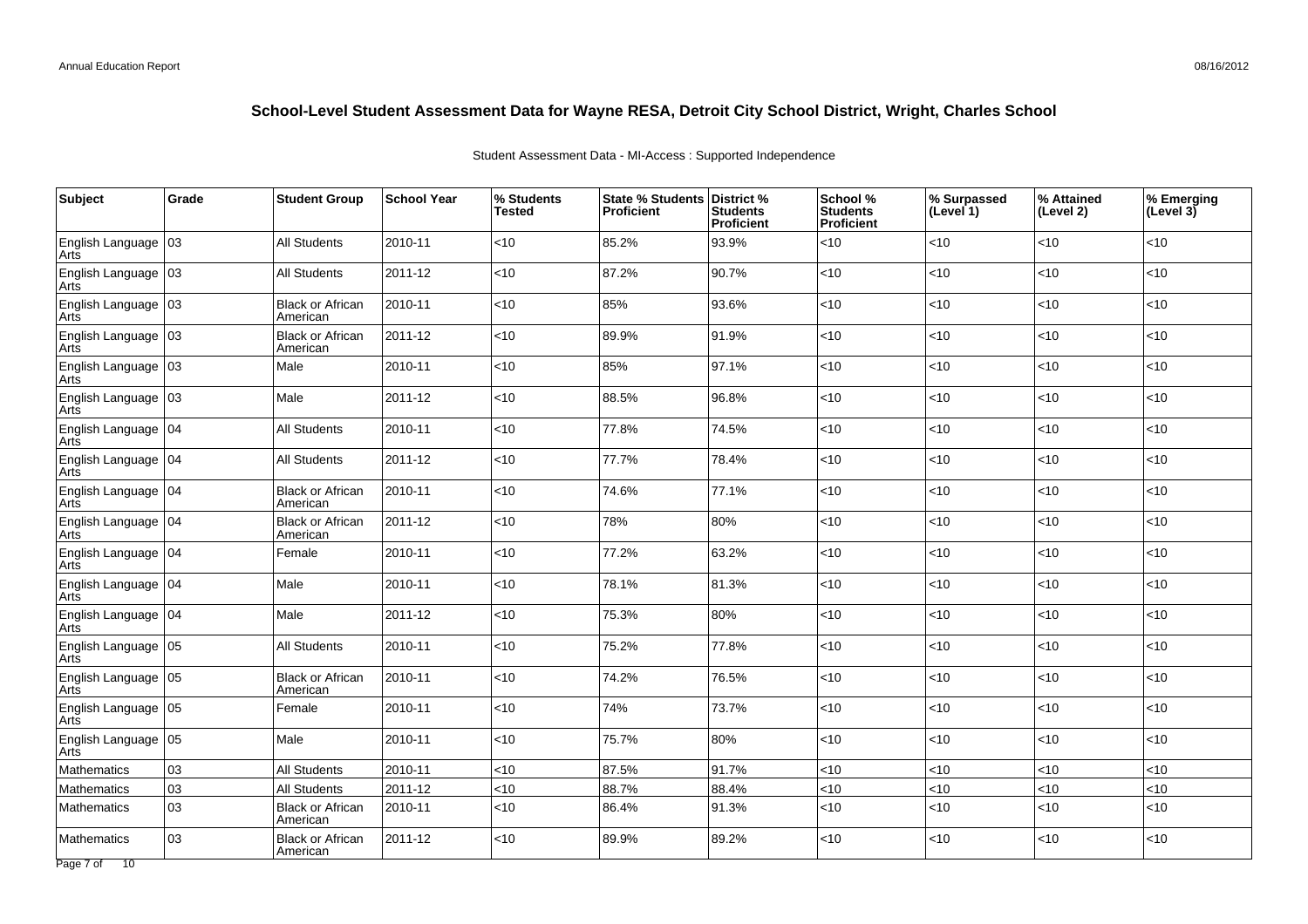| Subject                       | Grade | <b>Student Group</b>                | <b>School Year</b> | % Students<br><b>Tested</b> | State % Students District %<br>Proficient | <b>Students</b><br><b>Proficient</b> | School %<br><b>Students</b><br><b>Proficient</b> | % Surpassed<br>(Level 1) | % Attained<br>(Level 2) | % Emerging<br>$ $ (Level 3) |
|-------------------------------|-------|-------------------------------------|--------------------|-----------------------------|-------------------------------------------|--------------------------------------|--------------------------------------------------|--------------------------|-------------------------|-----------------------------|
| English Language 03<br>Arts   |       | <b>All Students</b>                 | 2010-11            | <10                         | 85.2%                                     | 93.9%                                | <10                                              | <10                      | <10                     | < 10                        |
| English Language<br>Arts      | 03    | <b>All Students</b>                 | 2011-12            | < 10                        | 87.2%                                     | 90.7%                                | <10                                              | <10                      | <10                     | <10                         |
| English Language<br>Arts      | 03    | <b>Black or African</b><br>American | 2010-11            | <10                         | 85%                                       | 93.6%                                | <10                                              | <10                      | <10                     | < 10                        |
| English Language 03<br>Arts   |       | <b>Black or African</b><br>American | 2011-12            | <10                         | 89.9%                                     | 91.9%                                | <10                                              | <10                      | <10                     | < 10                        |
| English Language   03<br>Arts |       | Male                                | 2010-11            | <10                         | 85%                                       | 97.1%                                | <10                                              | <10                      | <10                     | < 10                        |
| English Language 03<br>Arts   |       | Male                                | 2011-12            | < 10                        | 88.5%                                     | 96.8%                                | < 10                                             | <10                      | <10                     | < 10                        |
| English Language<br>Arts      | 104   | All Students                        | 2010-11            | < 10                        | 77.8%                                     | 74.5%                                | <10                                              | <10                      | <10                     | <10                         |
| English Language   04<br>Arts |       | All Students                        | 2011-12            | <10                         | 77.7%                                     | 78.4%                                | <10                                              | <10                      | <10                     | < 10                        |
| English Language 104<br>Arts  |       | <b>Black or African</b><br>American | 2010-11            | <10                         | 74.6%                                     | 77.1%                                | <10                                              | <10                      | <10                     | < 10                        |
| English Language   04<br>Arts |       | <b>Black or African</b><br>American | 2011-12            | <10                         | 78%                                       | 80%                                  | <10                                              | <10                      | <10                     | < 10                        |
| English Language   04<br>Arts |       | Female                              | 2010-11            | < 10                        | 77.2%                                     | 63.2%                                | <10                                              | <10                      | <10                     | < 10                        |
| English Language<br>Arts      | 04    | Male                                | 2010-11            | < 10                        | 78.1%                                     | 81.3%                                | <10                                              | <10                      | <10                     | <10                         |
| English Language   04<br>Arts |       | Male                                | 2011-12            | < 10                        | 75.3%                                     | 80%                                  | < 10                                             | <10                      | <10                     | < 10                        |
| English Language 05<br>Arts   |       | <b>All Students</b>                 | 2010-11            | <10                         | 75.2%                                     | 77.8%                                | <10                                              | <10                      | <10                     | < 10                        |
| English Language<br>Arts      | 05    | <b>Black or African</b><br>American | 2010-11            | < 10                        | 74.2%                                     | 76.5%                                | <10                                              | <10                      | <10                     | < 10                        |
| English Language<br>Arts      | 05    | Female                              | 2010-11            | <10                         | 74%                                       | 73.7%                                | <10                                              | <10                      | <10                     | < 10                        |
| English Language<br>Arts      | 05    | Male                                | 2010-11            | < 10                        | 75.7%                                     | 80%                                  | <10                                              | <10                      | <10                     | < 10                        |
| Mathematics                   | 03    | <b>All Students</b>                 | 2010-11            | <10                         | 87.5%                                     | 91.7%                                | < 10                                             | $<$ 10                   | <10                     | < 10                        |
| Mathematics                   | 03    | <b>All Students</b>                 | 2011-12            | < 10                        | 88.7%                                     | 88.4%                                | <10                                              | <10                      | <10                     | < 10                        |
| Mathematics                   | 03    | <b>Black or African</b><br>American | 2010-11            | < 10                        | 86.4%                                     | 91.3%                                | <10                                              | < 10                     | <10                     | < 10                        |
| Mathematics                   | 03    | <b>Black or African</b><br>American | 2011-12            | <10                         | 89.9%                                     | 89.2%                                | <10                                              | <10                      | <10                     | < 10                        |

Student Assessment Data - MI-Access : Supported Independence

Page 7 of 10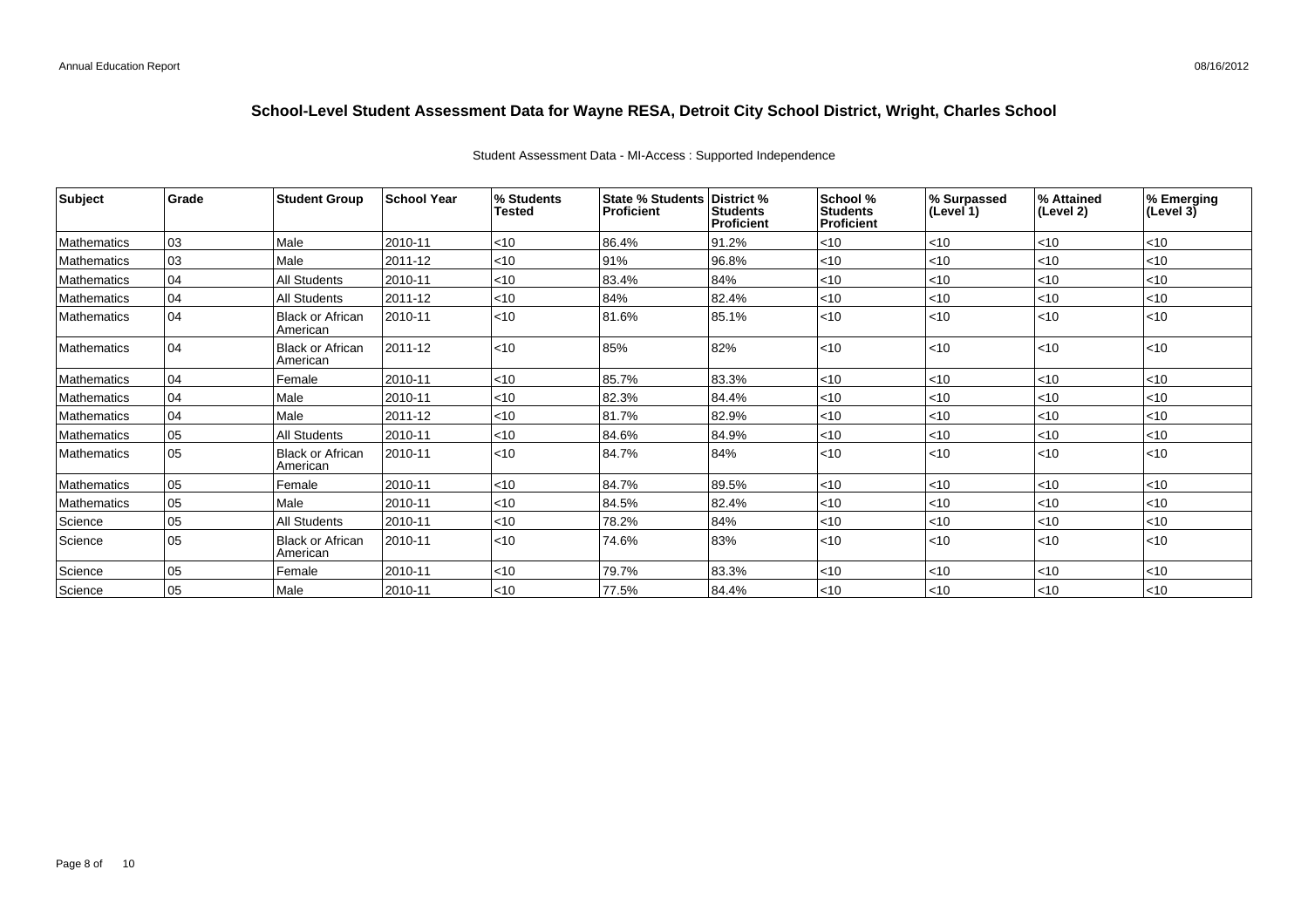| Subject            | Grade | <b>Student Group</b>                | <b>School Year</b> | % Students<br><b>Tested</b> | <b>State % Students   District %</b><br>Proficient | <b>Students</b><br><b>Proficient</b> | School %<br><b>Students</b><br><b>Proficient</b> | % Surpassed<br>l (Level 1) | ∣% Attained<br>(Level 2) | % Emerging<br>(Level $3\bar{)}$ |
|--------------------|-------|-------------------------------------|--------------------|-----------------------------|----------------------------------------------------|--------------------------------------|--------------------------------------------------|----------------------------|--------------------------|---------------------------------|
| Mathematics        | 03    | Male                                | 2010-11            | $ $ < 10                    | 86.4%                                              | 91.2%                                | $<$ 10                                           | < 10                       | $ $ < 10                 | <10                             |
| <b>Mathematics</b> | 03    | Male                                | 2011-12            | $ $ < 10                    | 91%                                                | 96.8%                                | $<$ 10                                           | $<$ 10                     | $ $ < 10                 | < 10                            |
| Mathematics        | 04    | <b>All Students</b>                 | 2010-11            | $ $ < 10                    | 83.4%                                              | 84%                                  | $<$ 10                                           | $<$ 10                     | $ $ < 10                 | <10                             |
| Mathematics        | 04    | <b>All Students</b>                 | 2011-12            | $ $ < 10                    | 84%                                                | 82.4%                                | < 10                                             | $<$ 10                     | $ $ < 10                 | <10                             |
| <b>Mathematics</b> | 04    | <b>Black or African</b><br>American | 2010-11            | < 10                        | 81.6%                                              | 85.1%                                | < 10                                             | $ $ < 10                   | l<10                     | < 10                            |
| Mathematics        | 04    | <b>Black or African</b><br>American | 2011-12            | $ $ < 10                    | 85%                                                | 82%                                  | < 10                                             | $ $ < 10                   | l<10                     | < 10                            |
| Mathematics        | 04    | Female                              | 2010-11            | $ $ < 10                    | 85.7%                                              | 83.3%                                | < 10                                             | $<$ 10                     | l<10                     | <10                             |
| <b>Mathematics</b> | 04    | Male                                | 2010-11            | $ $ < 10                    | 82.3%                                              | 84.4%                                | $<$ 10                                           | < 10                       | $ $ < 10                 | $<$ 10                          |
| Mathematics        | 04    | Male                                | 2011-12            | $\mathsf{I}$ < 10           | 81.7%                                              | 82.9%                                | $<$ 10                                           | < 10                       | $ $ < 10                 | < 10                            |
| <b>Mathematics</b> | 05    | <b>All Students</b>                 | 2010-11            | $ $ < 10                    | 84.6%                                              | 84.9%                                | < 10                                             | $<$ 10                     | $ $ < 10                 | <10                             |
| Mathematics        | 05    | <b>Black or African</b><br>American | 2010-11            | < 10                        | 84.7%                                              | 84%                                  | < 10                                             | $ $ < 10                   | l<10                     | < 10                            |
| Mathematics        | 05    | Female                              | 2010-11            | $ $ < 10                    | 84.7%                                              | 89.5%                                | $<$ 10                                           | $ $ < 10                   | $ $ < 10                 | <10                             |
| Mathematics        | 05    | Male                                | 2010-11            | $ $ < 10                    | 84.5%                                              | 82.4%                                | < 10                                             | $<$ 10                     | $ $ < 10                 | < 10                            |
| Science            | 05    | <b>All Students</b>                 | 2010-11            | $ $ < 10                    | 78.2%                                              | 84%                                  | $<$ 10                                           | < 10                       | $ $ < 10                 | <10                             |
| Science            | 05    | <b>Black or African</b><br>American | 2010-11            | $ $ < 10                    | 74.6%                                              | 83%                                  | $<$ 10                                           | < 10                       | $ $ <10                  | < 10                            |
| Science            | 05    | Female                              | 2010-11            | $ $ < 10                    | 79.7%                                              | 83.3%                                | < 10                                             | < 10                       | l<10                     | <10                             |
| Science            | 05    | Male                                | 2010-11            | $ $ < 10                    | 77.5%                                              | 84.4%                                | $<$ 10                                           | < 10                       | l<10                     | < 10                            |

#### Student Assessment Data - MI-Access : Supported Independence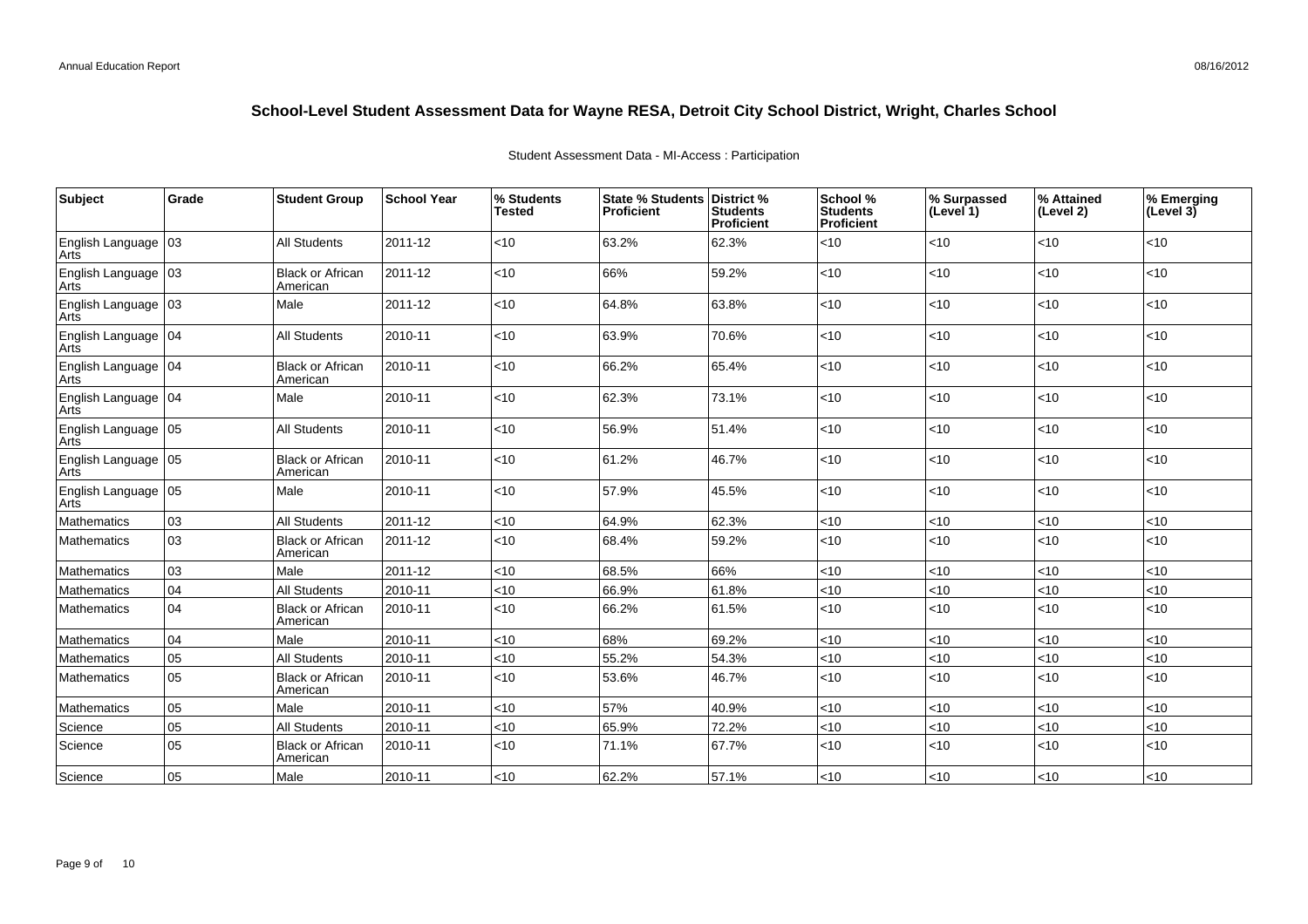| Subject                         | Grade           | <b>Student Group</b>                | <b>School Year</b> | % Students<br><b>Tested</b> | <b>State % Students</b><br><b>Proficient</b> | District %<br><b>Students</b><br>Proficient | School %<br>Students<br><b>Proficient</b> | % Surpassed<br>(Level 1) | % Attained<br>(Level 2) | % Emerging<br>(Level 3) |
|---------------------------------|-----------------|-------------------------------------|--------------------|-----------------------------|----------------------------------------------|---------------------------------------------|-------------------------------------------|--------------------------|-------------------------|-------------------------|
| English Language<br>Arts        | 103             | <b>All Students</b>                 | 2011-12            | < 10                        | 63.2%                                        | 62.3%                                       | < 10                                      | $<$ 10                   | <10                     | < 10                    |
| English Language<br>Arts        | 03              | <b>Black or African</b><br>American | 2011-12            | < 10                        | 66%                                          | 59.2%                                       | <10                                       | $<$ 10                   | <10                     | < 10                    |
| English Language<br><b>Arts</b> | 03              | Male                                | 2011-12            | < 10                        | 64.8%                                        | 63.8%                                       | < 10                                      | < 10                     | <10                     | $<10$                   |
| English Language   04<br>Arts   |                 | <b>All Students</b>                 | 2010-11            | < 10                        | 63.9%                                        | 70.6%                                       | <10                                       | $<$ 10                   | <10                     | < 10                    |
| English Language   04<br>Arts   |                 | <b>Black or African</b><br>American | 2010-11            | < 10                        | 66.2%                                        | 65.4%                                       | < 10                                      | <10                      | <10                     | < 10                    |
| English Language   04<br>Arts   |                 | Male                                | 2010-11            | < 10                        | 62.3%                                        | 73.1%                                       | <10                                       | $<$ 10                   | <10                     | < 10                    |
| <b>English Language</b><br>Arts | 05              | <b>All Students</b>                 | 2010-11            | < 10                        | 56.9%                                        | 51.4%                                       | < 10                                      | <10                      | <10                     | < 10                    |
| English Language<br>Arts        | $\log$          | <b>Black or African</b><br>American | 2010-11            | < 10                        | 61.2%                                        | 46.7%                                       | <10                                       | <10                      | <10                     | $<10$                   |
| English Language<br>Arts        | $\overline{05}$ | Male                                | 2010-11            | < 10                        | 57.9%                                        | 45.5%                                       | < 10                                      | $<$ 10                   | $<$ 10                  | < 10                    |
| Mathematics                     | 03              | <b>All Students</b>                 | 2011-12            | < 10                        | 64.9%                                        | 62.3%                                       | <10                                       | <10                      | <10                     | <10                     |
| Mathematics                     | 03              | <b>Black or African</b><br>American | 2011-12            | < 10                        | 68.4%                                        | 59.2%                                       | < 10                                      | < 10                     | <10                     | < 10                    |
| Mathematics                     | 03              | Male                                | 2011-12            | < 10                        | 68.5%                                        | 66%                                         | <10                                       | $<$ 10                   | <10                     | < 10                    |
| Mathematics                     | 04              | <b>All Students</b>                 | 2010-11            | < 10                        | 66.9%                                        | 61.8%                                       | <10                                       | <10                      | $<$ 10                  | < 10                    |
| Mathematics                     | 04              | <b>Black or African</b><br>American | 2010-11            | < 10                        | 66.2%                                        | 61.5%                                       | <10                                       | <10                      | <10                     | < 10                    |
| Mathematics                     | 04              | Male                                | 2010-11            | < 10                        | 68%                                          | 69.2%                                       | < 10                                      | <10                      | <10                     | < 10                    |
| Mathematics                     | 05              | <b>All Students</b>                 | 2010-11            | < 10                        | 55.2%                                        | 54.3%                                       | <10                                       | <10                      | <10                     | <10                     |
| Mathematics                     | 05              | <b>Black or African</b><br>American | 2010-11            | < 10                        | 53.6%                                        | 46.7%                                       | < 10                                      | < 10                     | <10                     | < 10                    |
| Mathematics                     | 05              | Male                                | 2010-11            | < 10                        | 57%                                          | 40.9%                                       | <10                                       | <10                      | <10                     | <10                     |
| Science                         | 05              | <b>All Students</b>                 | 2010-11            | < 10                        | 65.9%                                        | 72.2%                                       | <10                                       | < 10                     | $<$ 10                  | < 10                    |
| Science                         | 05              | <b>Black or African</b><br>American | 2010-11            | < 10                        | 71.1%                                        | 67.7%                                       | <10                                       | $<$ 10                   | $<$ 10                  | < 10                    |
| Science                         | 05              | Male                                | 2010-11            | < 10                        | 62.2%                                        | 57.1%                                       | < 10                                      | <10                      | <10                     | < 10                    |

Student Assessment Data - MI-Access : Participation